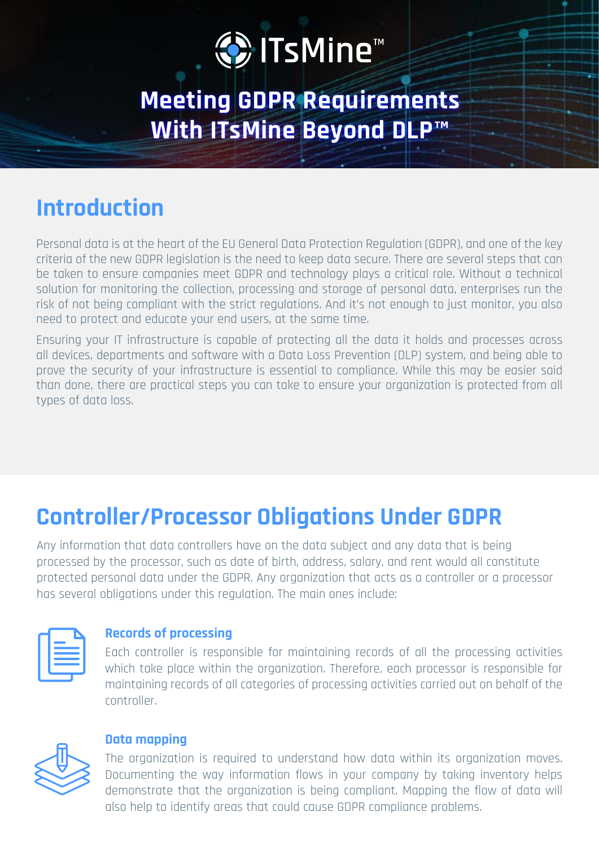# O ITsMine™

### **Meeting GDPR Requirements With ITsMine Beyond DLP™**

### **Introduction**

Personal data is at the heart of the EU General Data Protection Regulation (GDPR), and one of the key criteria of the new GDPR legislation is the need to keep data secure. There are several steps that can be taken to ensure companies meet GDPR and technology plays a critical role. Without a technical solution for monitoring the collection, processing and storage of personal data, enterprises run the risk of not being compliant with the strict regulations. And it's not enough to just monitor, you also need to protect and educate your end users, at the same time.

Ensuring your IT infrastructure is capable of protecting all the data it holds and processes across all devices, departments and software with a Data Loss Prevention (DLP) system, and being able to prove the security of your infrastructure is essential to compliance. While this may be easier said than done, there are practical steps you can take to ensure your organization is protected from all types of data loss.

### **Controller/Processor Obligations Under GDPR**

Any information that data controllers have on the data subject and any data that is being processed by the processor, such as date of birth, address, salary, and rent would all constitute protected personal data under the GDPR. Any organization that acts as a controller or a processor has several obligations under this regulation. The main ones include:

#### **Records of processing**

Each controller is responsible for maintaining records of all the processing activities which take place within the organization. Therefore, each processor is responsible for maintaining records of all categories of processing activities carried out on behalf of the .controller



#### **Data mapping**

The organization is required to understand how data within its organization moves. Documenting the way information flows in your company by taking inventory helps demonstrate that the organization is being compliant. Mapping the flow of data will also help to identify areas that could cause GDPR compliance problems.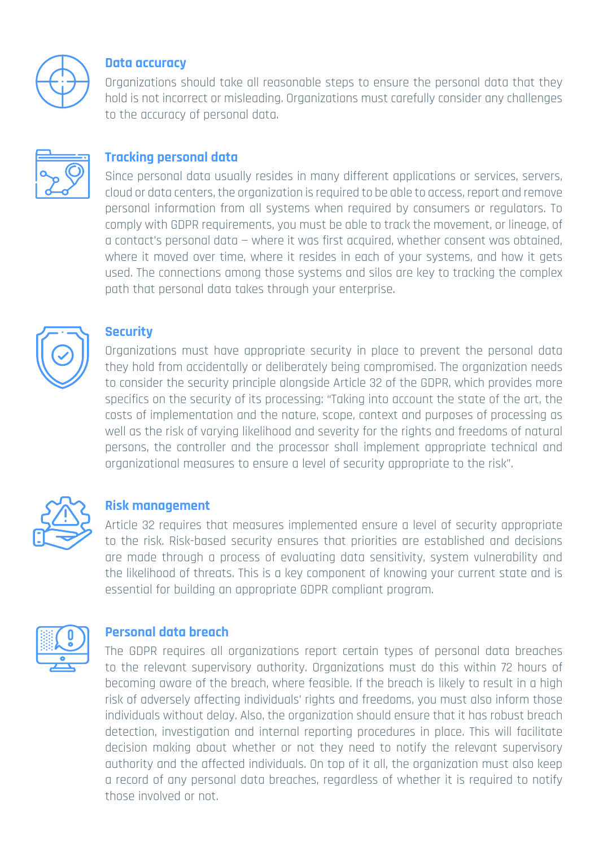

#### **Data** accuracy

Organizations should take all reasonable steps to ensure the personal data that they hold is not incorrect or misleading. Organizations must carefully consider any challenges to the accuracy of personal data.



#### **Tracking personal data**

Since personal data usually resides in many different applications or services, servers, cloud or data centers, the organization is required to be able to access, report and remove personal information from all systems when required by consumers or requiators. To comply with GDPR requirements, you must be able to track the movement, or lineage, of  $\alpha$  contact's personal data – where it was first acquired, whether consent was obtained, where it moved over time, where it resides in each of your systems, and how it gets used. The connections among those systems and silos are key to tracking the complex path that personal data takes through your enterprise.



#### **Security**

Organizations must have appropriate security in place to prevent the personal data they hold from accidentally or deliberately being compromised. The organization needs to consider the security principle alongside Article 32 of the GDPR, which provides more specifics on the security of its processing: "Taking into account the state of the art, the costs of implementation and the nature, scope, context and purposes of processing as well as the risk of varying likelihood and severity for the rights and freedoms of natural persons, the controller and the processor shall implement appropriate technical and organizational measures to ensure a level of security appropriate to the risk".



#### **management Risk**

Article 32 requires that measures implemented ensure a level of security appropriate to the risk. Risk-based security ensures that priorities are established and decisions are made through a process of evaluating data sensitivity, system vulnerability and the likelihood of threats. This is a key component of knowing your current state and is essential for building an appropriate GDPR compliant program.



#### **Personal data breach**

The GDPR requires all organizations report certain types of personal data breaches to the relevant supervisory authority. Organizations must do this within 72 hours of becoming aware of the breach, where feasible. If the breach is likely to result in a high risk of adversely affecting individuals' rights and freedoms, you must also inform those individuals without delay. Also, the organization should ensure that it has robust breach detection, investigation and internal reporting procedures in place. This will facilitate decision making about whether or not they need to notify the relevant supervisory authority and the affected individuals. On top of it all, the organization must also keep a record of any personal data breaches, regardless of whether it is reguired to notify those involved or not.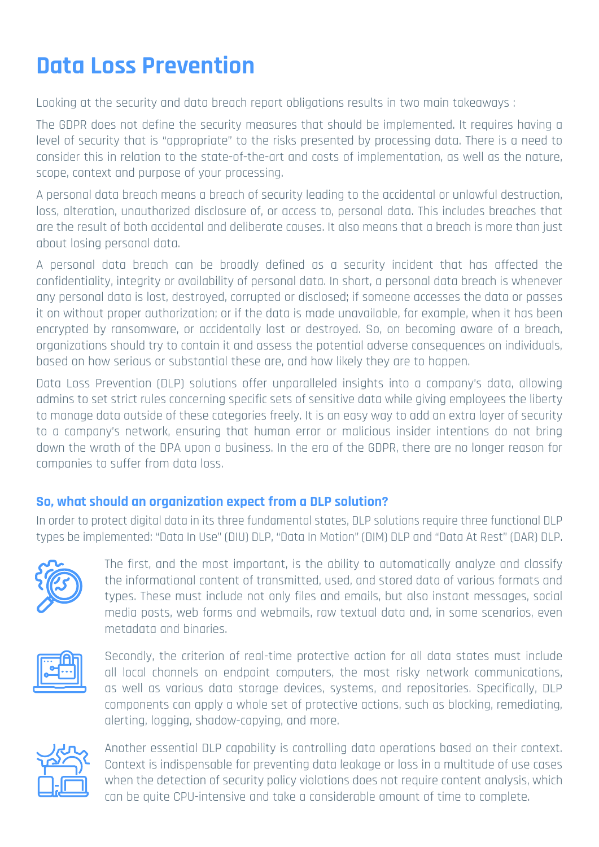### **Data Loss Prevention**

Looking at the security and data breach report obligations results in two main takeaways :

The GDPR does not define the security measures that should be implemented. It requires having a level of security that is "appropriate" to the risks presented by processing data. There is a need to consider this in relation to the state-of-the-art and costs of implementation, as well as the nature, scope, context and purpose of your processing.

A personal data breach means a breach of security leading to the accidental or unlawful destruction, loss, alteration, unauthorized disclosure of, or access to, personal data. This includes breaches that gre the result of both accidental and deliberate causes. It also means that a breach is more than just about losing personal data.

A personal data breach can be broadly defined as a security incident that has affected the confidentiality, integrity or availability of personal data. In short, a personal data breach is whenever any personal data is lost, destroyed, corrupted or disclosed; if someone accesses the data or passes it on without proper authorization; or if the data is made unavailable, for example, when it has been encrypted by ransomware, or accidentally lost or destroyed. So, on becoming aware of a breach. organizations should try to contain it and assess the potential adverse consequences on individuals, .hased on how serious or substantial these are, and how likely they are to happen.

Data Loss Prevention (DLP) solutions offer unparalleled insights into a company's data, allowing admins to set strict rules concerning specific sets of sensitive data while giving employees the liberty to manage data outside of these categories freely. It is an easy way to add an extra layer of security to a company's network, ensuring that human error or malicious insider intentions do not bring down the wrath of the DPA upon a business. In the era of the GDPR, there are no longer reason for companies to suffer from data loss.

#### **So, what should an organization expect from a DLP solution?**

In order to protect digital data in its three fundamental states, DLP solutions require three functional DLP types be implemented: "Data In Use" (DIU) DLP, "Data In Motion" (DIM) DLP and "Data At Rest" (DAR) DLP.



The first, and the most important, is the ability to automatically analyze and classify the informational content of transmitted, used, and stored data of various formats and types. These must include not only files and emails, but also instant messages, social media posts, web forms and webmails, raw textual data and, in some scenarios, even metadata and hinaries.



Secondly, the criterion of real-time protective action for all data states must include all local channels on endpoint computers, the most risky network communications, as well as various data storage devices, systems, and repositories, Specifically, DLP components can apply a whole set of protective actions, such as blocking, remediating, alerting, logging, shadow-copying, and more.



Another essential DLP capability is controlling data operations based on their context. Context is indispensable for preventing data leakage or loss in a multitude of use cases when the detection of security policy violations does not require content analysis, which can be quite CPU-intensive and take a considerable amount of time to complete.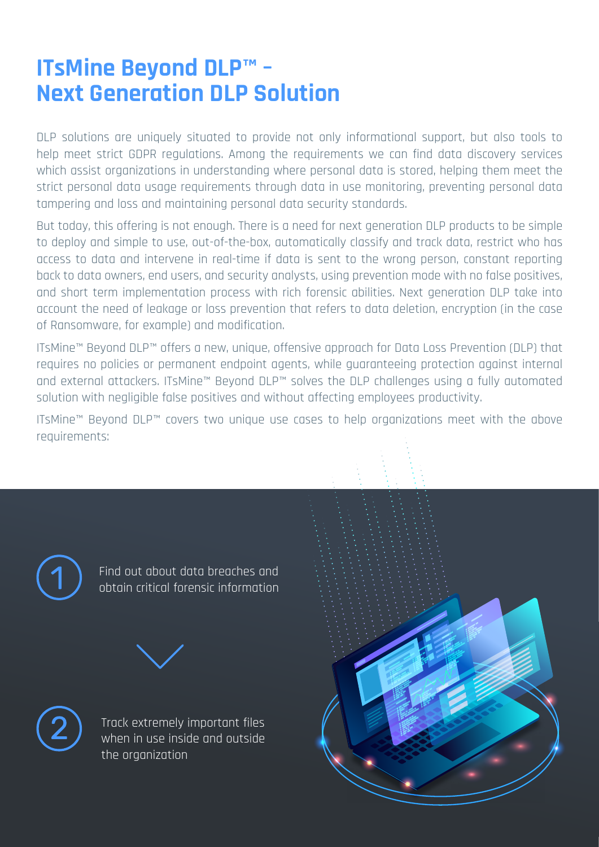### **ITsMine Beyond DLP™ -Next Generation DLP Solution**

DLP solutions are uniquely situated to provide not only informational support, but also tools to help meet strict GDPR regulations. Among the requirements we can find data discovery services which assist organizations in understanding where personal data is stored, helping them meet the strict personal data usage requirements through data in use monitoring, preventing personal data tampering and loss and maintaining personal data security standards.

But today, this offering is not enough. There is a need for next generation DLP products to be simple to deploy and simple to use, out-of-the-box, automatically classify and track data, restrict who has access to data and intervene in real-time if data is sent to the wrong person, constant reporting back to data owners, end users, and security analysts, using prevention mode with no false positives, and short term implementation process with rich forensic abilities. Next generation DLP take into account the need of leakage or loss prevention that refers to data deletion, encryption (in the case of Ransomware, for example) and modification.

ITsMine™ Beyond DLP™ offers a new, unique, offensive approach for Data Loss Prevention (DLP) that requires no policies or permanent endpoint agents, while quaranteeing protection against internal and external attackers. ITsMine™ Beyond DLP™ solves the DLP challenges using a fully automated solution with negligible false positives and without affecting employees productivity.

ITsMine™ Beyond DLP™ covers two unique use cases to help organizations meet with the above :requirements



Find out about data breaches and obtain critical forensic information





Track extremely important files when in use inside and outside the organization

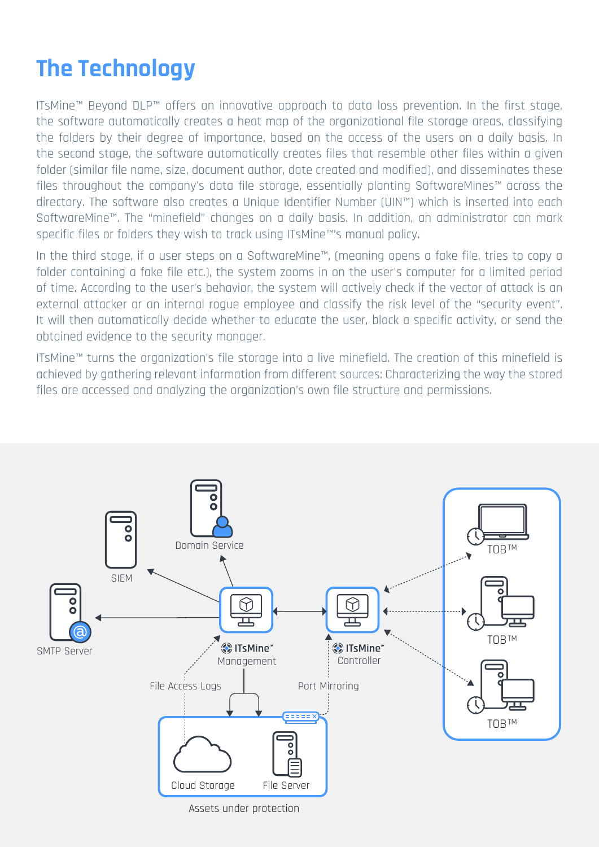## **The Technology**

ITsMine™ Bevond DLP™ offers an innovative approach to data loss prevention. In the first stage, the software automatically creates a heat map of the organizational file storage areas, classifying the folders by their degree of importance, based on the access of the users on a daily basis. In the second stage, the software automatically creates files that resemble other files within a given folder (similar file name, size, document author, date created and modified), and disseminates these files throughout the company's data file storage, essentially planting SoftwareMines™ across the directory. The software also creates a Unique Identifier Number (UIN™) which is inserted into each SoftwareMine<sup>m</sup>. The "minefield" changes on a daily basis. In addition, an administrator can mark specific files or folders they wish to track using ITsMine™'s manual policy.

In the third stage, if a user steps on a SoftwareMine™, (meaning opens a fake file, tries to copy a folder containing a fake file etc.), the system zooms in on the user's computer for a limited period of time. According to the user's behavior, the system will actively check if the vector of attack is an external attacker or an internal roque employee and classify the risk level of the "security event". It will then automatically decide whether to educate the user, block a specific activity, or send the obtained evidence to the security manager.

ITsMine™ turns the organization's file storage into a live minefield. The creation of this minefield is achieved by gathering relevant information from different sources: Characterizing the way the stored files are accessed and analyzing the organization's own file structure and permissions.

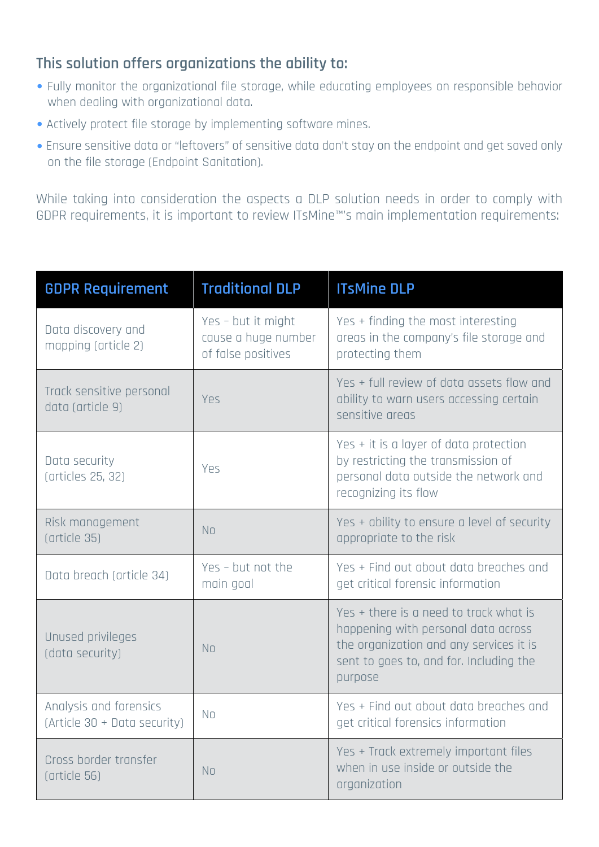### This solution offers organizations the ability to:

- Fully monitor the organizational file storage, while educating employees on responsible behavior when dealing with organizational data.
- Actively protect file storage by implementing software mines.
- Ensure sensitive data or "leftovers" of sensitive data don't stay on the endpoint and get saved only on the file storage (Endpoint Sanitation).

While taking into consideration the aspects a DLP solution needs in order to comply with GDPR requirements, it is important to review ITsMine™'s main implementation requirements:

| <b>GDPR Requirement</b>                                | <b>Traditional DLP</b>                                          | <b>ITsMine DLP</b>                                                                                                                                                             |
|--------------------------------------------------------|-----------------------------------------------------------------|--------------------------------------------------------------------------------------------------------------------------------------------------------------------------------|
| Data discovery and<br>mapping (article 2)              | Yes - but it might<br>cause a huge number<br>of false positives | Yes + finding the most interesting<br>areas in the company's file storage and<br>protecting them                                                                               |
| Track sensitive personal<br>data (article 9)           | Yes                                                             | Yes + full review of data assets flow and<br>ability to warn users accessing certain<br>sensitive areas                                                                        |
| Data security<br>(articles 25, 32)                     | Yes                                                             | Yes + it is a layer of data protection<br>by restricting the transmission of<br>personal data outside the network and<br>recognizing its flow                                  |
| Risk management<br>(article 35)                        | <b>No</b>                                                       | Yes + ability to ensure a level of security<br>appropriate to the risk                                                                                                         |
| Data breach (article 34)                               | Yes - but not the<br>main goal                                  | Yes + Find out about data breaches and<br>get critical forensic information                                                                                                    |
| Unused privileges<br>(data security)                   | <b>No</b>                                                       | Yes + there is a need to track what is<br>happening with personal data across<br>the organization and any services it is<br>sent to goes to, and for. Including the<br>purpose |
| Analysis and forensics<br>(Article 30 + Data security) | N <sub>o</sub>                                                  | Yes + Find out about data breaches and<br>get critical forensics information                                                                                                   |
| Cross border transfer<br>(article 56)                  | N <sub>o</sub>                                                  | Yes + Track extremely important files<br>when in use inside or outside the<br>organization                                                                                     |